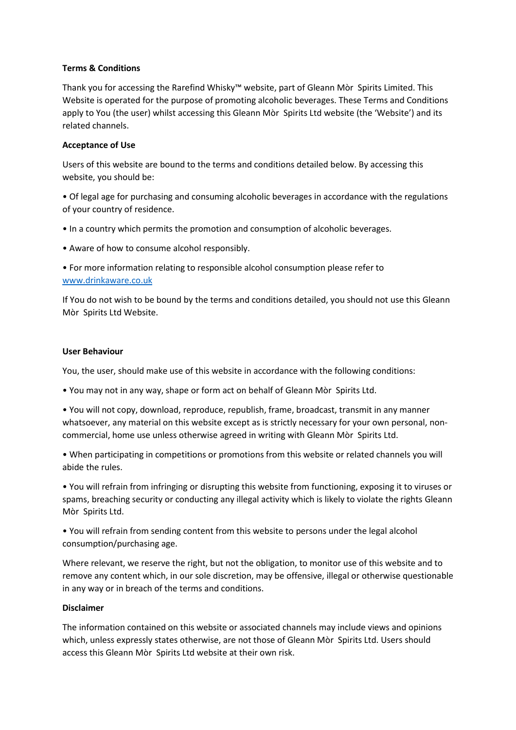## **Terms & Conditions**

Thank you for accessing the Rarefind Whisky™ website, part of Gleann Mòr Spirits Limited. This Website is operated for the purpose of promoting alcoholic beverages. These Terms and Conditions apply to You (the user) whilst accessing this Gleann Mòr Spirits Ltd website (the 'Website') and its related channels.

## **Acceptance of Use**

Users of this website are bound to the terms and conditions detailed below. By accessing this website, you should be:

• Of legal age for purchasing and consuming alcoholic beverages in accordance with the regulations of your country of residence.

- In a country which permits the promotion and consumption of alcoholic beverages.
- Aware of how to consume alcohol responsibly.

• For more information relating to responsible alcohol consumption please refer to [www.drinkaware.co.uk](http://www.drinkaware.co.uk/)

If You do not wish to be bound by the terms and conditions detailed, you should not use this Gleann Mòr Spirits Ltd Website.

### **User Behaviour**

You, the user, should make use of this website in accordance with the following conditions:

• You may not in any way, shape or form act on behalf of Gleann Mòr Spirits Ltd.

• You will not copy, download, reproduce, republish, frame, broadcast, transmit in any manner whatsoever, any material on this website except as is strictly necessary for your own personal, noncommercial, home use unless otherwise agreed in writing with Gleann Mòr Spirits Ltd.

• When participating in competitions or promotions from this website or related channels you will abide the rules.

• You will refrain from infringing or disrupting this website from functioning, exposing it to viruses or spams, breaching security or conducting any illegal activity which is likely to violate the rights Gleann Mòr Spirits Ltd.

• You will refrain from sending content from this website to persons under the legal alcohol consumption/purchasing age.

Where relevant, we reserve the right, but not the obligation, to monitor use of this website and to remove any content which, in our sole discretion, may be offensive, illegal or otherwise questionable in any way or in breach of the terms and conditions.

# **Disclaimer**

The information contained on this website or associated channels may include views and opinions which, unless expressly states otherwise, are not those of Gleann Mòr Spirits Ltd. Users should access this Gleann Mòr Spirits Ltd website at their own risk.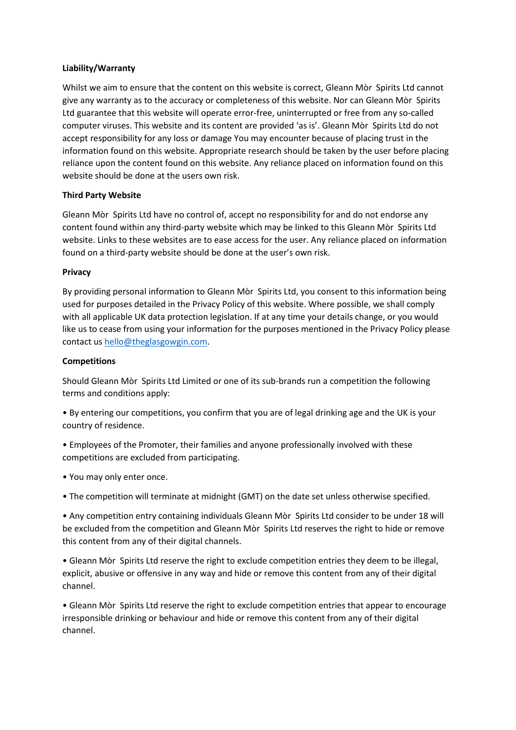### **Liability/Warranty**

Whilst we aim to ensure that the content on this website is correct, Gleann Mòr Spirits Ltd cannot give any warranty as to the accuracy or completeness of this website. Nor can Gleann Mòr Spirits Ltd guarantee that this website will operate error-free, uninterrupted or free from any so-called computer viruses. This website and its content are provided 'as is'. Gleann Mòr Spirits Ltd do not accept responsibility for any loss or damage You may encounter because of placing trust in the information found on this website. Appropriate research should be taken by the user before placing reliance upon the content found on this website. Any reliance placed on information found on this website should be done at the users own risk.

### **Third Party Website**

Gleann Mòr Spirits Ltd have no control of, accept no responsibility for and do not endorse any content found within any third-party website which may be linked to this Gleann Mòr Spirits Ltd website. Links to these websites are to ease access for the user. Any reliance placed on information found on a third-party website should be done at the user's own risk.

### **Privacy**

By providing personal information to Gleann Mòr Spirits Ltd, you consent to this information being used for purposes detailed in the Privacy Policy of this website. Where possible, we shall comply with all applicable UK data protection legislation. If at any time your details change, or you would like us to cease from using your information for the purposes mentioned in the Privacy Policy please contact u[s hello@theglasgowgin.com.](mailto:hello@gmspirits.com)

#### **Competitions**

Should Gleann Mòr Spirits Ltd Limited or one of its sub-brands run a competition the following terms and conditions apply:

• By entering our competitions, you confirm that you are of legal drinking age and the UK is your country of residence.

- Employees of the Promoter, their families and anyone professionally involved with these competitions are excluded from participating.
- You may only enter once.
- The competition will terminate at midnight (GMT) on the date set unless otherwise specified.

• Any competition entry containing individuals Gleann Mòr Spirits Ltd consider to be under 18 will be excluded from the competition and Gleann Mòr Spirits Ltd reserves the right to hide or remove this content from any of their digital channels.

• Gleann Mòr Spirits Ltd reserve the right to exclude competition entries they deem to be illegal, explicit, abusive or offensive in any way and hide or remove this content from any of their digital channel.

• Gleann Mòr Spirits Ltd reserve the right to exclude competition entries that appear to encourage irresponsible drinking or behaviour and hide or remove this content from any of their digital channel.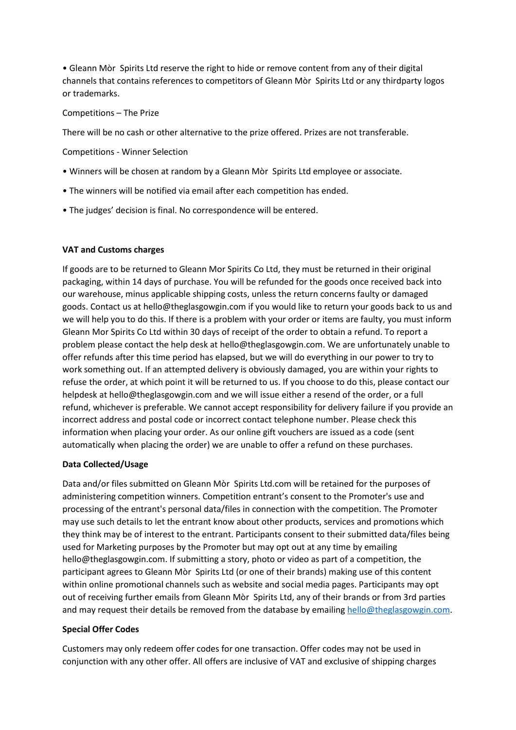• Gleann Mòr Spirits Ltd reserve the right to hide or remove content from any of their digital channels that contains references to competitors of Gleann Mòr Spirits Ltd or any thirdparty logos or trademarks.

## Competitions – The Prize

There will be no cash or other alternative to the prize offered. Prizes are not transferable.

Competitions - Winner Selection

- Winners will be chosen at random by a Gleann Mòr Spirits Ltd employee or associate.
- The winners will be notified via email after each competition has ended.
- The judges' decision is final. No correspondence will be entered.

## **VAT and Customs charges**

If goods are to be returned to Gleann Mor Spirits Co Ltd, they must be returned in their original packaging, within 14 days of purchase. You will be refunded for the goods once received back into our warehouse, minus applicable shipping costs, unless the return concerns faulty or damaged goods. Contact us at hello@theglasgowgin.com if you would like to return your goods back to us and we will help you to do this. If there is a problem with your order or items are faulty, you must inform Gleann Mor Spirits Co Ltd within 30 days of receipt of the order to obtain a refund. To report a problem please contact the help desk at hello@theglasgowgin.com. We are unfortunately unable to offer refunds after this time period has elapsed, but we will do everything in our power to try to work something out. If an attempted delivery is obviously damaged, you are within your rights to refuse the order, at which point it will be returned to us. If you choose to do this, please contact our helpdesk at hello@theglasgowgin.com and we will issue either a resend of the order, or a full refund, whichever is preferable. We cannot accept responsibility for delivery failure if you provide an incorrect address and postal code or incorrect contact telephone number. Please check this information when placing your order. As our online gift vouchers are issued as a code (sent automatically when placing the order) we are unable to offer a refund on these purchases.

# **Data Collected/Usage**

Data and/or files submitted on Gleann Mòr Spirits Ltd.com will be retained for the purposes of administering competition winners. Competition entrant's consent to the Promoter's use and processing of the entrant's personal data/files in connection with the competition. The Promoter may use such details to let the entrant know about other products, services and promotions which they think may be of interest to the entrant. Participants consent to their submitted data/files being used for Marketing purposes by the Promoter but may opt out at any time by emailing hello@theglasgowgin.com. If submitting a story, photo or video as part of a competition, the participant agrees to Gleann Mòr Spirits Ltd (or one of their brands) making use of this content within online promotional channels such as website and social media pages. Participants may opt out of receiving further emails from Gleann Mòr Spirits Ltd, any of their brands or from 3rd parties and may request their details be removed from the database by emailin[g hello@theglasgowgin.com.](mailto:hello@gmspirits.com)

# **Special Offer Codes**

Customers may only redeem offer codes for one transaction. Offer codes may not be used in conjunction with any other offer. All offers are inclusive of VAT and exclusive of shipping charges